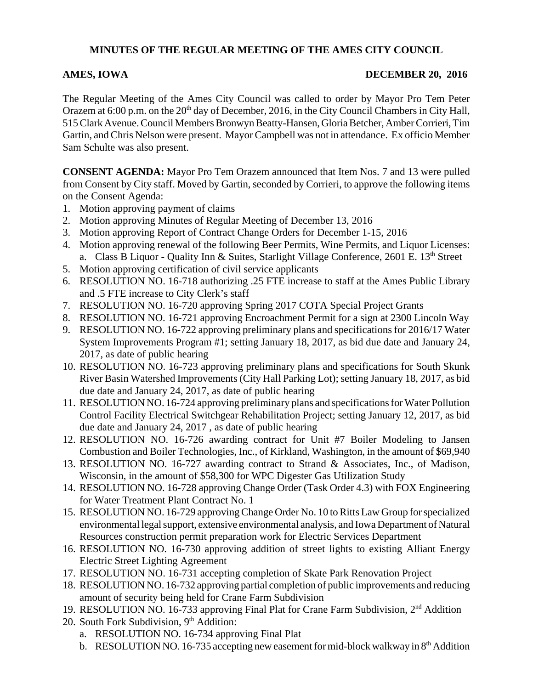## **MINUTES OF THE REGULAR MEETING OF THE AMES CITY COUNCIL**

## **AMES, IOWA** DECEMBER 20, 2016

The Regular Meeting of the Ames City Council was called to order by Mayor Pro Tem Peter Orazem at 6:00 p.m. on the 20<sup>th</sup> day of December, 2016, in the City Council Chambers in City Hall, 515 Clark Avenue. Council Members Bronwyn Beatty-Hansen, Gloria Betcher, Amber Corrieri, Tim Gartin, and Chris Nelson were present. Mayor Campbell was not in attendance. Ex officio Member Sam Schulte was also present.

**CONSENT AGENDA:** Mayor Pro Tem Orazem announced that Item Nos. 7 and 13 were pulled from Consent by City staff. Moved by Gartin, seconded by Corrieri, to approve the following items on the Consent Agenda:

- 1. Motion approving payment of claims
- 2. Motion approving Minutes of Regular Meeting of December 13, 2016
- 3. Motion approving Report of Contract Change Orders for December 1-15, 2016
- 4. Motion approving renewal of the following Beer Permits, Wine Permits, and Liquor Licenses: a. Class B Liquor - Quality Inn & Suites, Starlight Village Conference, 2601 E.  $13<sup>th</sup>$  Street
- 5. Motion approving certification of civil service applicants
- 6. RESOLUTION NO. 16-718 authorizing .25 FTE increase to staff at the Ames Public Library and .5 FTE increase to City Clerk's staff
- 7. RESOLUTION NO. 16-720 approving Spring 2017 COTA Special Project Grants
- 8. RESOLUTION NO. 16-721 approving Encroachment Permit for a sign at 2300 Lincoln Way
- 9. RESOLUTION NO. 16-722 approving preliminary plans and specifications for 2016/17 Water System Improvements Program #1; setting January 18, 2017, as bid due date and January 24, 2017, as date of public hearing
- 10. RESOLUTION NO. 16-723 approving preliminary plans and specifications for South Skunk River Basin Watershed Improvements (City Hall Parking Lot); setting January 18, 2017, as bid due date and January 24, 2017, as date of public hearing
- 11. RESOLUTION NO. 16-724 approving preliminary plans and specifications for Water Pollution Control Facility Electrical Switchgear Rehabilitation Project; setting January 12, 2017, as bid due date and January 24, 2017 , as date of public hearing
- 12. RESOLUTION NO. 16-726 awarding contract for Unit #7 Boiler Modeling to Jansen Combustion and Boiler Technologies, Inc., of Kirkland, Washington, in the amount of \$69,940
- 13. RESOLUTION NO. 16-727 awarding contract to Strand & Associates, Inc., of Madison, Wisconsin, in the amount of \$58,300 for WPC Digester Gas Utilization Study
- 14. RESOLUTION NO. 16-728 approving Change Order (Task Order 4.3) with FOX Engineering for Water Treatment Plant Contract No. 1
- 15. RESOLUTION NO. 16-729 approving Change Order No. 10 to Ritts Law Group for specialized environmental legal support, extensive environmental analysis, and Iowa Department of Natural Resources construction permit preparation work for Electric Services Department
- 16. RESOLUTION NO. 16-730 approving addition of street lights to existing Alliant Energy Electric Street Lighting Agreement
- 17. RESOLUTION NO. 16-731 accepting completion of Skate Park Renovation Project
- 18. RESOLUTION NO. 16-732 approving partial completion of public improvements and reducing amount of security being held for Crane Farm Subdivision
- 19. RESOLUTION NO. 16-733 approving Final Plat for Crane Farm Subdivision, 2nd Addition
- 20. South Fork Subdivision, 9<sup>th</sup> Addition:
	- a. RESOLUTION NO. 16-734 approving Final Plat
	- b. RESOLUTION NO. 16-735 accepting new easement for mid-block walkway in  $8<sup>th</sup>$  Addition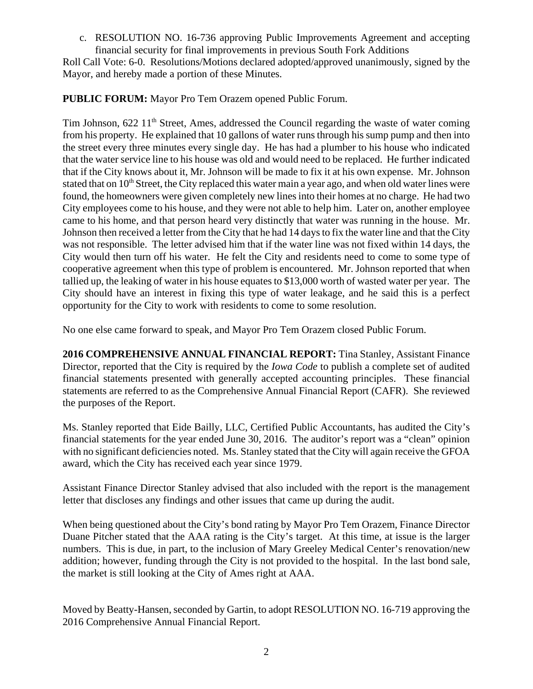c. RESOLUTION NO. 16-736 approving Public Improvements Agreement and accepting financial security for final improvements in previous South Fork Additions

Roll Call Vote: 6-0. Resolutions/Motions declared adopted/approved unanimously, signed by the Mayor, and hereby made a portion of these Minutes.

**PUBLIC FORUM:** Mayor Pro Tem Orazem opened Public Forum.

Tim Johnson,  $622 \ 11<sup>th</sup>$  Street, Ames, addressed the Council regarding the waste of water coming from his property. He explained that 10 gallons of water runs through his sump pump and then into the street every three minutes every single day. He has had a plumber to his house who indicated that the water service line to his house was old and would need to be replaced. He further indicated that if the City knows about it, Mr. Johnson will be made to fix it at his own expense. Mr. Johnson stated that on 10<sup>th</sup> Street, the City replaced this water main a year ago, and when old water lines were found, the homeowners were given completely new lines into their homes at no charge. He had two City employees come to his house, and they were not able to help him. Later on, another employee came to his home, and that person heard very distinctly that water was running in the house. Mr. Johnson then received a letter from the City that he had 14 days to fix the water line and that the City was not responsible. The letter advised him that if the water line was not fixed within 14 days, the City would then turn off his water. He felt the City and residents need to come to some type of cooperative agreement when this type of problem is encountered. Mr. Johnson reported that when tallied up, the leaking of water in his house equates to \$13,000 worth of wasted water per year. The City should have an interest in fixing this type of water leakage, and he said this is a perfect opportunity for the City to work with residents to come to some resolution.

No one else came forward to speak, and Mayor Pro Tem Orazem closed Public Forum.

**2016 COMPREHENSIVE ANNUAL FINANCIAL REPORT:** Tina Stanley, Assistant Finance Director, reported that the City is required by the *Iowa Code* to publish a complete set of audited financial statements presented with generally accepted accounting principles. These financial statements are referred to as the Comprehensive Annual Financial Report (CAFR). She reviewed the purposes of the Report.

Ms. Stanley reported that Eide Bailly, LLC, Certified Public Accountants, has audited the City's financial statements for the year ended June 30, 2016. The auditor's report was a "clean" opinion with no significant deficiencies noted. Ms. Stanley stated that the City will again receive the GFOA award, which the City has received each year since 1979.

Assistant Finance Director Stanley advised that also included with the report is the management letter that discloses any findings and other issues that came up during the audit.

When being questioned about the City's bond rating by Mayor Pro Tem Orazem, Finance Director Duane Pitcher stated that the AAA rating is the City's target. At this time, at issue is the larger numbers. This is due, in part, to the inclusion of Mary Greeley Medical Center's renovation/new addition; however, funding through the City is not provided to the hospital. In the last bond sale, the market is still looking at the City of Ames right at AAA.

Moved by Beatty-Hansen, seconded by Gartin, to adopt RESOLUTION NO. 16-719 approving the 2016 Comprehensive Annual Financial Report.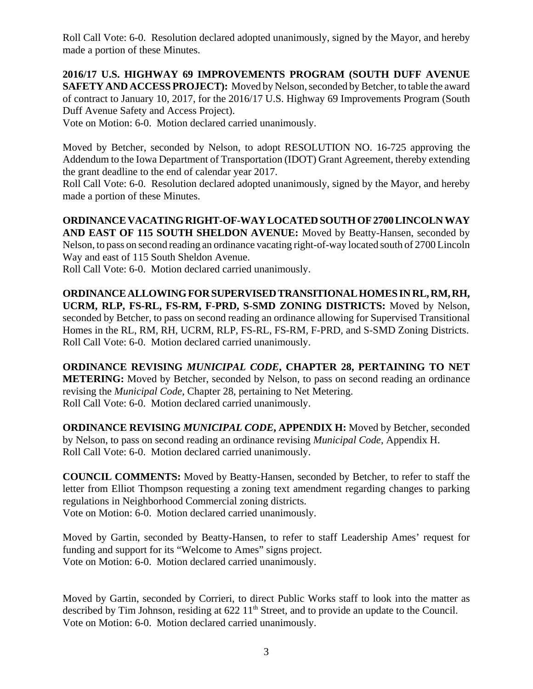Roll Call Vote: 6-0. Resolution declared adopted unanimously, signed by the Mayor, and hereby made a portion of these Minutes.

**2016/17 U.S. HIGHWAY 69 IMPROVEMENTS PROGRAM (SOUTH DUFF AVENUE SAFETY AND ACCESS PROJECT):** Moved by Nelson, seconded by Betcher, to table the award of contract to January 10, 2017, for the 2016/17 U.S. Highway 69 Improvements Program (South Duff Avenue Safety and Access Project).

Vote on Motion: 6-0. Motion declared carried unanimously.

Moved by Betcher, seconded by Nelson, to adopt RESOLUTION NO. 16-725 approving the Addendum to the Iowa Department of Transportation (IDOT) Grant Agreement, thereby extending the grant deadline to the end of calendar year 2017.

Roll Call Vote: 6-0. Resolution declared adopted unanimously, signed by the Mayor, and hereby made a portion of these Minutes.

**ORDINANCE VACATING RIGHT-OF-WAY LOCATED SOUTH OF 2700 LINCOLN WAY AND EAST OF 115 SOUTH SHELDON AVENUE:** Moved by Beatty-Hansen, seconded by Nelson, to pass on second reading an ordinance vacating right-of-way located south of 2700 Lincoln Way and east of 115 South Sheldon Avenue.

Roll Call Vote: 6-0. Motion declared carried unanimously.

**ORDINANCE ALLOWING FOR SUPERVISED TRANSITIONAL HOMES IN RL, RM, RH, UCRM, RLP, FS-RL, FS-RM, F-PRD, S-SMD ZONING DISTRICTS:** Moved by Nelson, seconded by Betcher, to pass on second reading an ordinance allowing for Supervised Transitional Homes in the RL, RM, RH, UCRM, RLP, FS-RL, FS-RM, F-PRD, and S-SMD Zoning Districts. Roll Call Vote: 6-0. Motion declared carried unanimously.

**ORDINANCE REVISING** *MUNICIPAL CODE***, CHAPTER 28, PERTAINING TO NET METERING:** Moved by Betcher, seconded by Nelson, to pass on second reading an ordinance revising the *Municipal Code*, Chapter 28, pertaining to Net Metering. Roll Call Vote: 6-0. Motion declared carried unanimously.

**ORDINANCE REVISING** *MUNICIPAL CODE***, APPENDIX H:** Moved by Betcher, seconded by Nelson, to pass on second reading an ordinance revising *Municipal Code*, Appendix H. Roll Call Vote: 6-0. Motion declared carried unanimously.

**COUNCIL COMMENTS:** Moved by Beatty-Hansen, seconded by Betcher, to refer to staff the letter from Elliot Thompson requesting a zoning text amendment regarding changes to parking regulations in Neighborhood Commercial zoning districts.

Vote on Motion: 6-0. Motion declared carried unanimously.

Moved by Gartin, seconded by Beatty-Hansen, to refer to staff Leadership Ames' request for funding and support for its "Welcome to Ames" signs project. Vote on Motion: 6-0. Motion declared carried unanimously.

Moved by Gartin, seconded by Corrieri, to direct Public Works staff to look into the matter as described by Tim Johnson, residing at  $622\,11^{\text{th}}$  Street, and to provide an update to the Council. Vote on Motion: 6-0. Motion declared carried unanimously.